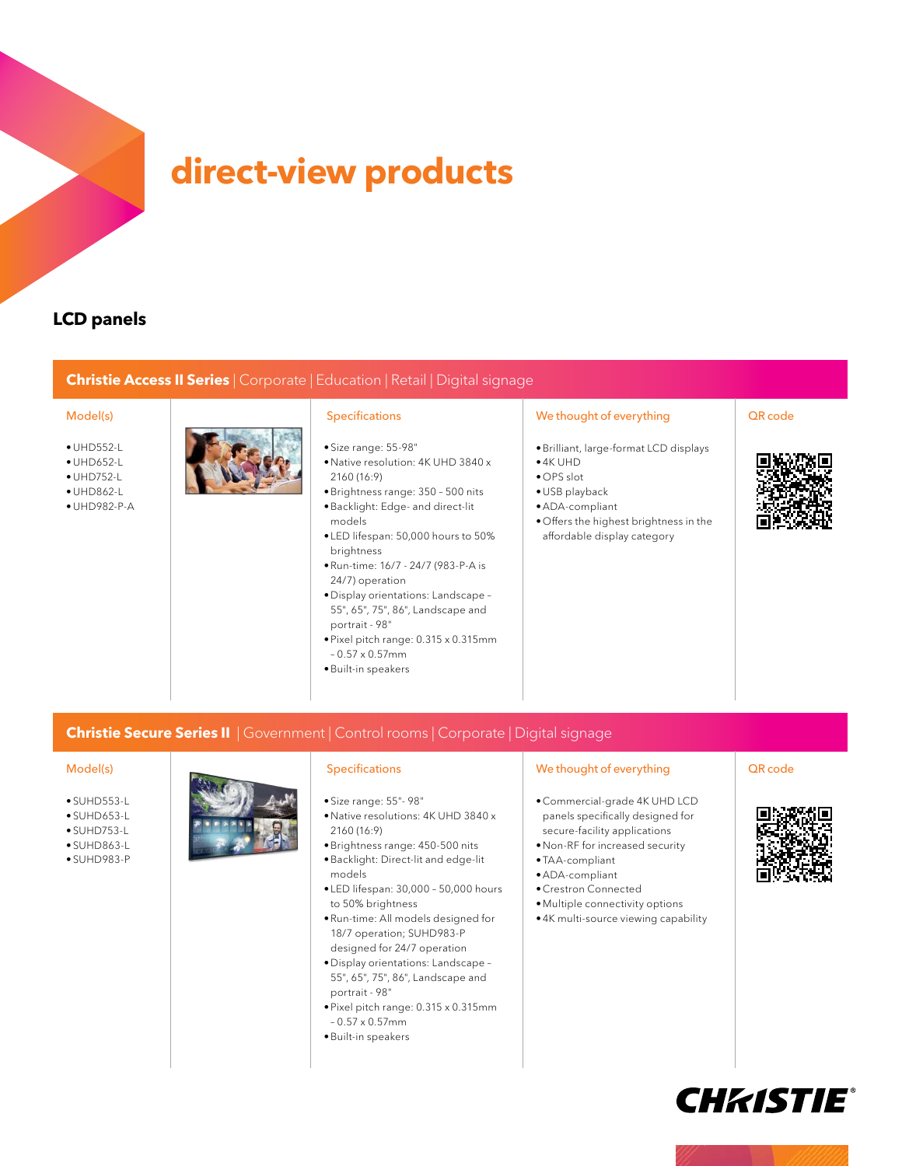

# **direct-view products**

# **LCD panels**

### **Christie Access II Series** | Corporate | Education | Retail | Digital signage

- •UHD552-L
- •UHD652-L
- •UHD752-L
- •UHD862-L
- •UHD982-P-A



- Size range: 55-98"
- •Native resolution: 4K UHD 3840 x 2160 (16:9)
- •Brightness range: 350 500 nits •Backlight: Edge- and direct-lit
- models • LED lifespan: 50,000 hours to 50%
- brightness •Run-time: 16/7 - 24/7 (983-P-A is
- 24/7) operation •Display orientations: Landscape –
- 55", 65", 75", 86", Landscape and portrait - 98"
- •Pixel pitch range: 0.315 x 0.315mm – 0.57 x 0.57mm
- •Built-in speakers

### Model(s) **Specifications** We thought of everything QR code

- •Brilliant, large-format LCD displays
- •4K UHD
- OPS slot
- •USB playback
- •ADA-compliant
- Offers the highest brightness in the affordable display category



### **Christie Secure Series II** | Government | Control rooms | Corporate | Digital signage

- SUHD553-L
- SUHD653-L
- $\bullet$  SLIHD753-L
- SUHD863-L
- SUHD983-P

- Size range: 55"- 98"
- •Native resolutions: 4K UHD 3840 x 2160 (16:9)
- •Brightness range: 450-500 nits
- •Backlight: Direct-lit and edge-lit models
- LED lifespan: 30,000 50,000 hours to 50% brightness
- •Run-time: All models designed for 18/7 operation; SUHD983-P
- designed for 24/7 operation •Display orientations: Landscape – 55", 65", 75", 86", Landscape and portrait - 98"
- •Pixel pitch range: 0.315 x 0.315mm – 0.57 x 0.57mm
- •Built-in speakers

### Model(s) **Specifications** Specifications We thought of everything QR code

- •Commercial-grade 4K UHD LCD panels specifically designed for secure-facility applications
- •Non-RF for increased security
- TAA-compliant
- •ADA-compliant
- •Crestron Connected
- •Multiple connectivity options
- •4K multi-source viewing capability





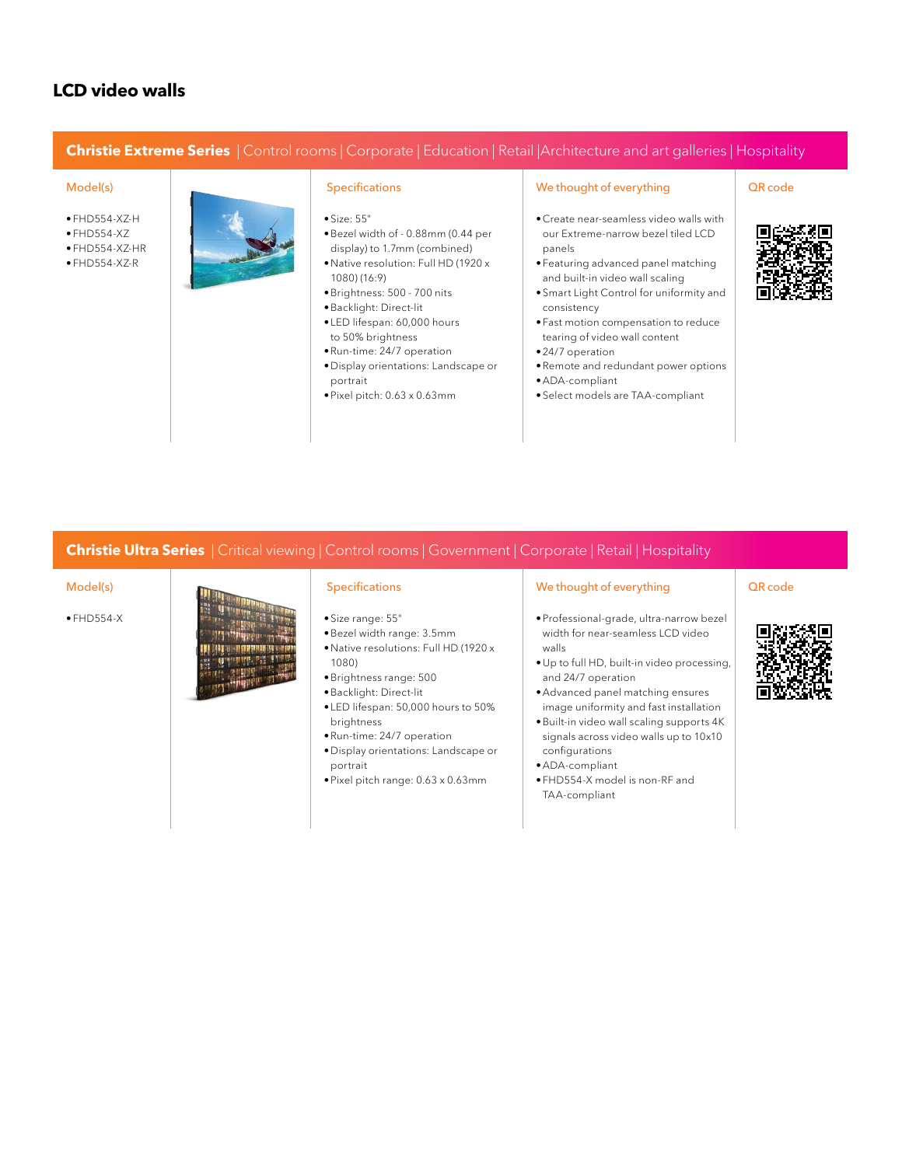# **LCD video walls**

### **Christie Extreme Series** | Control rooms | Corporate | Education | Retail |Architecture and art galleries | Hospitality

- $\bullet$  FHD554-XZ-H
- FHD554-XZ
- FHD554-XZ-HR
- FHD554-XZ-R



- Size: 55"
- •Bezel width of 0.88mm (0.44 per display) to 1.7mm (combined)
- •Native resolution: Full HD (1920 x 1080) (16:9)
- •Brightness: 500 700 nits
- •Backlight: Direct-lit
- LED lifespan: 60,000 hours to 50% brightness
- •Run-time: 24/7 operation
- •Display orientations: Landscape or portrait
- •Pixel pitch: 0.63 x 0.63mm

- •Create near-seamless video walls with our Extreme-narrow bezel tiled LCD panels
- Featuring advanced panel matching and built-in video wall scaling
- Smart Light Control for uniformity and consistency
- Fast motion compensation to reduce tearing of video wall content
- •24/7 operation
- •Remote and redundant power options
- •ADA-compliant
- Select models are TAA-compliant

### **Christie Ultra Series** | Critical viewing | Control rooms | Government | Corporate | Retail | Hospitality



- 
- •Bezel width range: 3.5mm
- •Native resolutions: Full HD (1920 x
- •Brightness range: 500
- •Backlight: Direct-lit
- LED lifespan: 50,000 hours to 50%
- •Run-time: 24/7 operation
- •Display orientations: Landscape or portrait
- •Pixel pitch range: 0.63 x 0.63mm

- •Professional-grade, ultra-narrow bezel width for near-seamless LCD video walls
- •Up to full HD, built-in video processing, and 24/7 operation
- •Advanced panel matching ensures image uniformity and fast installation
- •Built-in video wall scaling supports 4K signals across video walls up to 10x10 configurations
- •ADA-compliant
- FHD554-X model is non-RF and TAA-compliant

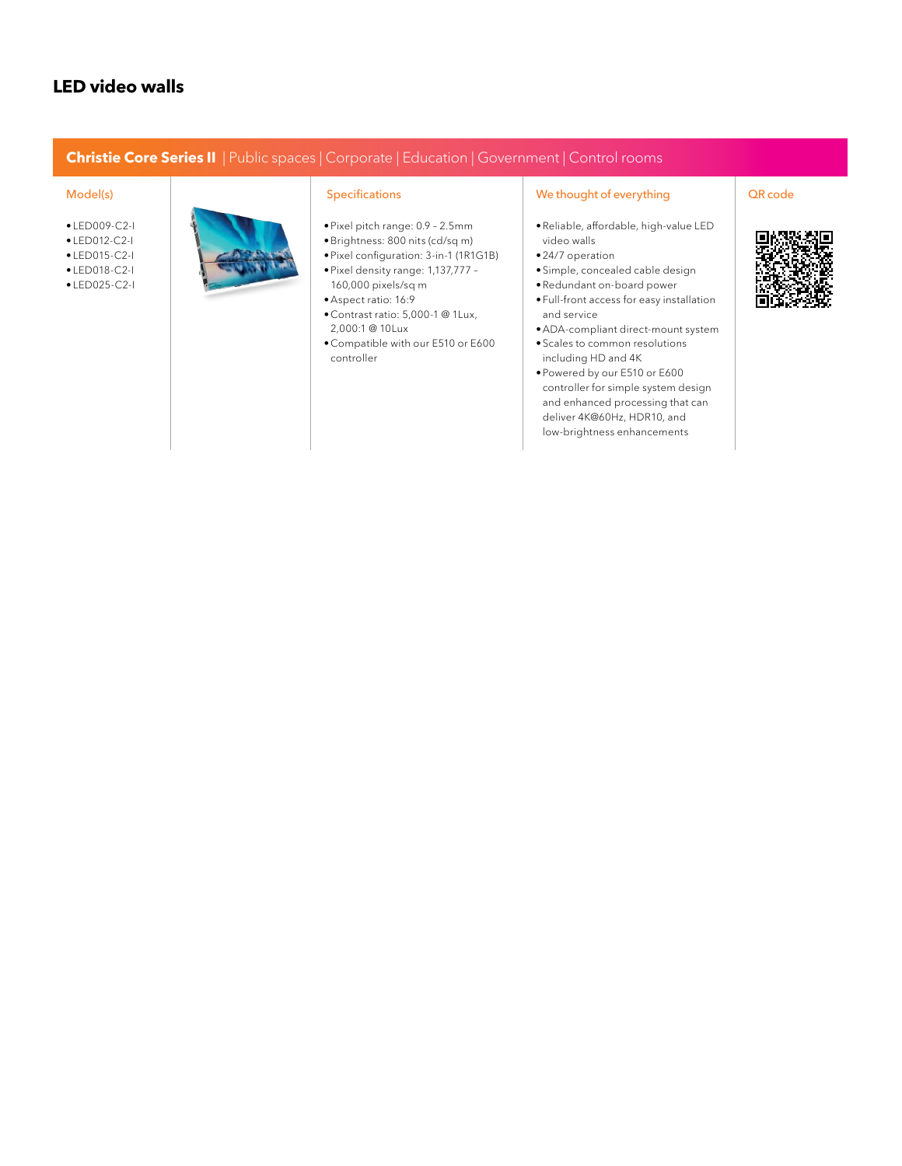### **LED video walls**

### **Christie Core Series II** | Public spaces | Corporate | Education | Government | Control rooms

- LED009-C2-I
- LED012-C2-I
- LED015-C2-I
- LED018-C2-I
- LED025-C2-I



- •Pixel pitch range: 0.9 2.5mm
- •Brightness: 800 nits (cd/sq m)
- •Pixel configuration: 3-in-1 (1R1G1B) •Pixel density range: 1,137,777 – 160,000 pixels/sq m
- •Aspect ratio: 16:9
- •Contrast ratio: 5,000-1 @ 1Lux, 2,000:1 @ 10Lux
- •Compatible with our E510 or E600 controller

- •Reliable, affordable, high-value LED video walls
- •24/7 operation
- Simple, concealed cable design
- •Redundant on-board power
- Full-front access for easy installation and service
- •ADA-compliant direct-mount system
- Scales to common resolutions including HD and 4K
- •Powered by our E510 or E600 controller for simple system design and enhanced processing that can deliver 4K@60Hz, HDR10, and low-brightness enhancements